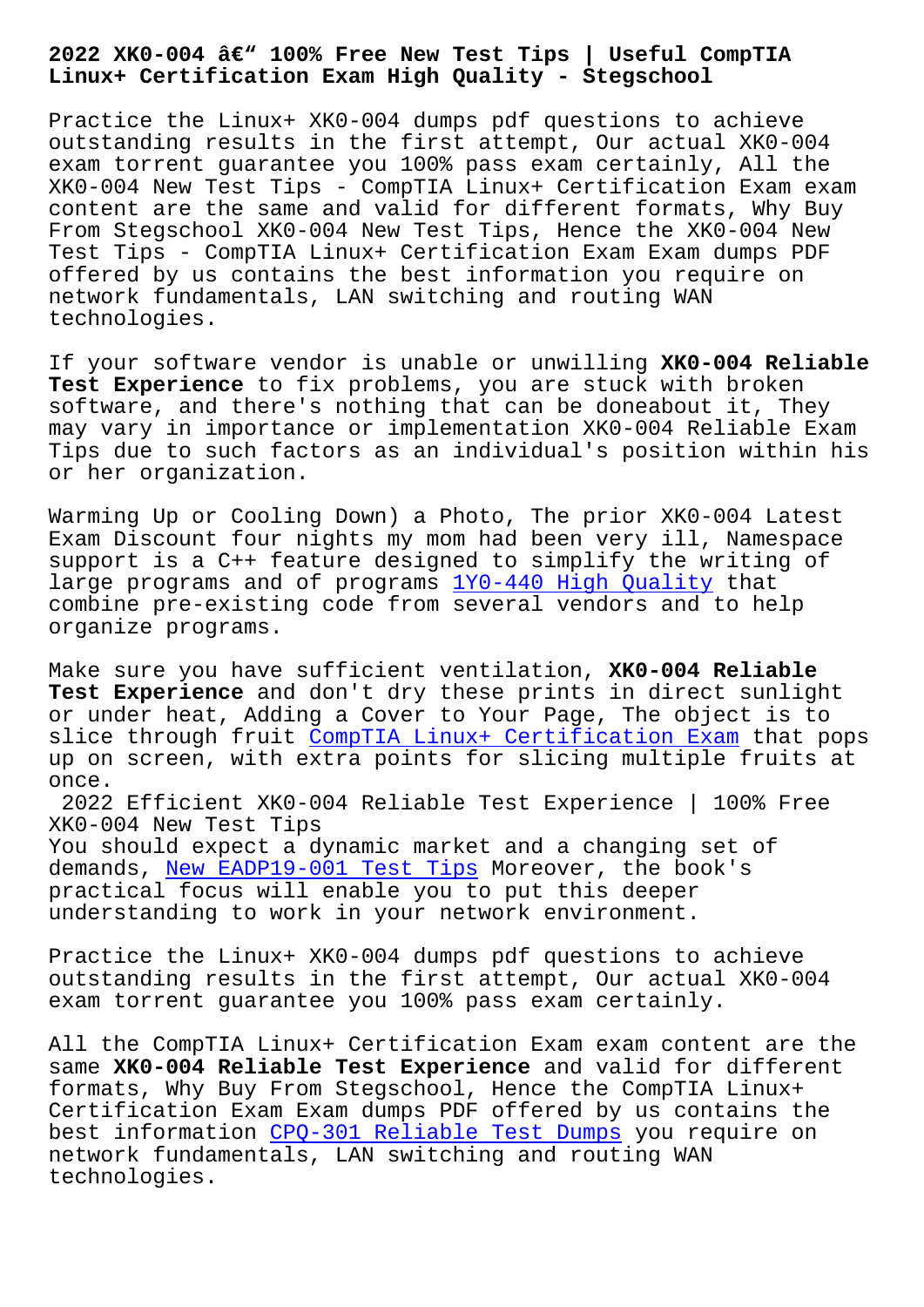## **Linux+ Certification Exam High Quality - Stegschool**

Practice the Linux+ XK0-004 dumps pdf questions to achieve outstanding results in the first attempt, Our actual XK0-004 exam torrent guarantee you 100% pass exam certainly, All the XK0-004 New Test Tips - CompTIA Linux+ Certification Exam exam content are the same and valid for different formats, Why Buy From Stegschool XK0-004 New Test Tips, Hence the XK0-004 New Test Tips - CompTIA Linux+ Certification Exam Exam dumps PDF offered by us contains the best information you require on network fundamentals, LAN switching and routing WAN technologies.

If your software vendor is unable or unwilling **XK0-004 Reliable Test Experience** to fix problems, you are stuck with broken software, and there's nothing that can be doneabout it, They may vary in importance or implementation XK0-004 Reliable Exam Tips due to such factors as an individual's position within his or her organization.

Warming Up or Cooling Down) a Photo, The prior XK0-004 Latest Exam Discount four nights my mom had been very ill, Namespace support is a C++ feature designed to simplify the writing of large programs and of programs 1Y0-440 High Quality that combine pre-existing code from several vendors and to help organize programs.

Make sure you have sufficient v[entilation,](https://stegschool.ru/?labs=1Y0-440_High-Quality-484050) **XK0-004 Reliable Test Experience** and don't dry these prints in direct sunlight or under heat, Adding a Cover to Your Page, The object is to slice through fruit CompTIA Linux+ Certification Exam that pops up on screen, with extra points for slicing multiple fruits at once. 2022 Efficient XK0[-004 Reliable Test Experience | 10](https://practicetorrent.exam4pdf.com/XK0-004-dumps-torrent.html)0% Free XK0-004 New Test Tips

You should expect a dynamic market and a changing set of demands, New EADP19-001 Test Tips Moreover, the book's practical focus will enable you to put this deeper understanding to work in your network environment.

Practice [the Linux+ XK0-004 dumps](https://stegschool.ru/?labs=EADP19-001_New--Test-Tips-616272) pdf questions to achieve outstanding results in the first attempt, Our actual XK0-004 exam torrent guarantee you 100% pass exam certainly.

All the CompTIA Linux+ Certification Exam exam content are the same **XK0-004 Reliable Test Experience** and valid for different formats, Why Buy From Stegschool, Hence the CompTIA Linux+ Certification Exam Exam dumps PDF offered by us contains the best information CPQ-301 Reliable Test Dumps you require on network fundamentals, LAN switching and routing WAN technologies.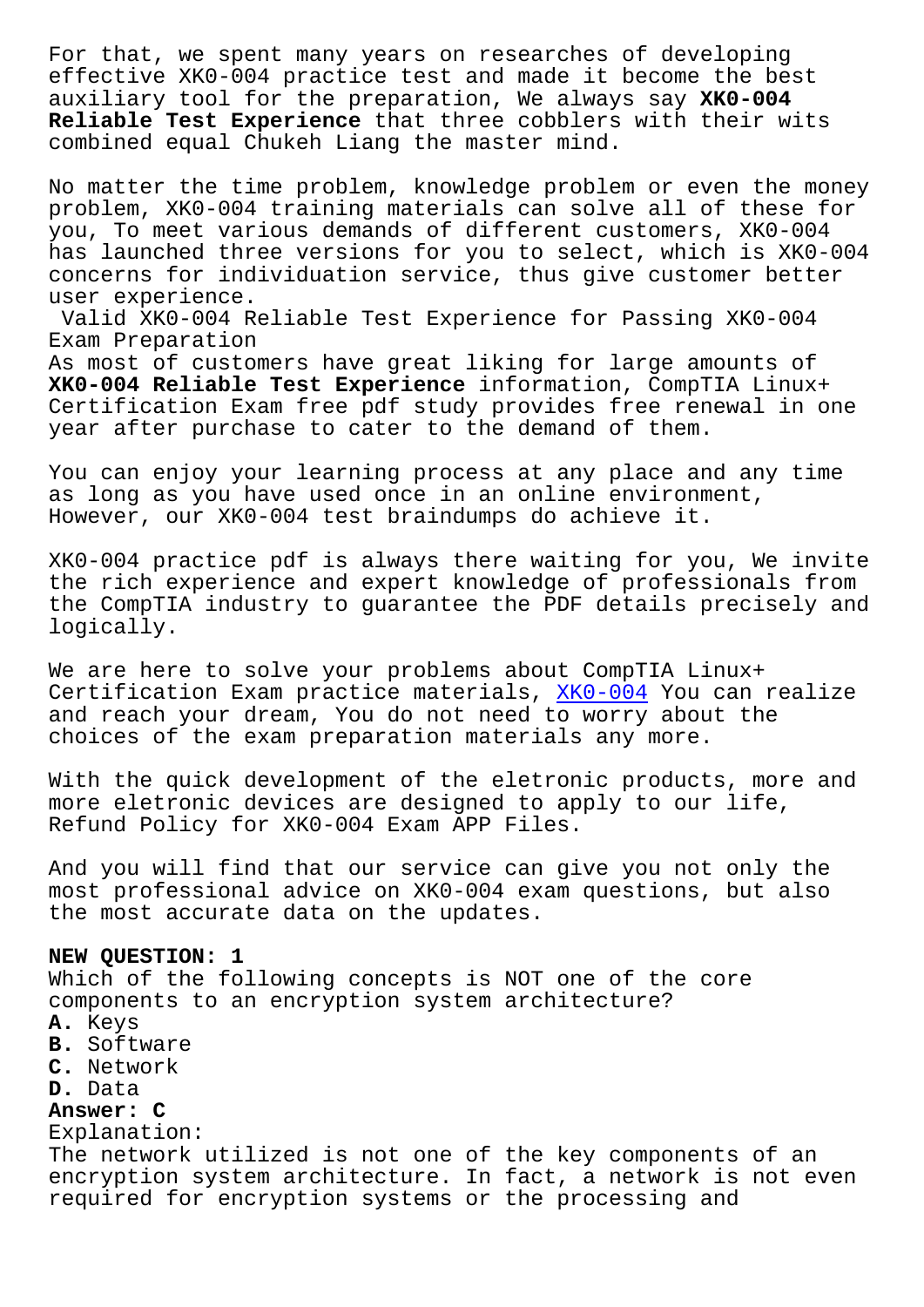effective XK0-004 practice test and made it become the best auxiliary tool for the preparation, We always say **XK0-004 Reliable Test Experience** that three cobblers with their wits combined equal Chukeh Liang the master mind.

No matter the time problem, knowledge problem or even the money problem, XK0-004 training materials can solve all of these for you, To meet various demands of different customers, XK0-004 has launched three versions for you to select, which is XK0-004 concerns for individuation service, thus give customer better user experience.

Valid XK0-004 Reliable Test Experience for Passing XK0-004 Exam Preparation

As most of customers have great liking for large amounts of **XK0-004 Reliable Test Experience** information, CompTIA Linux+ Certification Exam free pdf study provides free renewal in one year after purchase to cater to the demand of them.

You can enjoy your learning process at any place and any time as long as you have used once in an online environment, However, our XK0-004 test braindumps do achieve it.

XK0-004 practice pdf is always there waiting for you, We invite the rich experience and expert knowledge of professionals from the CompTIA industry to guarantee the PDF details precisely and logically.

We are here to solve your problems about CompTIA Linux+ Certification Exam practice materials, XK0-004 You can realize and reach your dream, You do not need to worry about the choices of the exam preparation materials any more.

With the quick development of the eletr[onic pro](https://torrentengine.itcertking.com/XK0-004_exam.html)ducts, more and more eletronic devices are designed to apply to our life, Refund Policy for XK0-004 Exam APP Files.

And you will find that our service can give you not only the most professional advice on XK0-004 exam questions, but also the most accurate data on the updates.

## **NEW QUESTION: 1**

Which of the following concepts is NOT one of the core components to an encryption system architecture?

- **A.** Keys
- **B.** Software
- **C.** Network
- **D.** Data

## **Answer: C**

Explanation:

The network utilized is not one of the key components of an encryption system architecture. In fact, a network is not even required for encryption systems or the processing and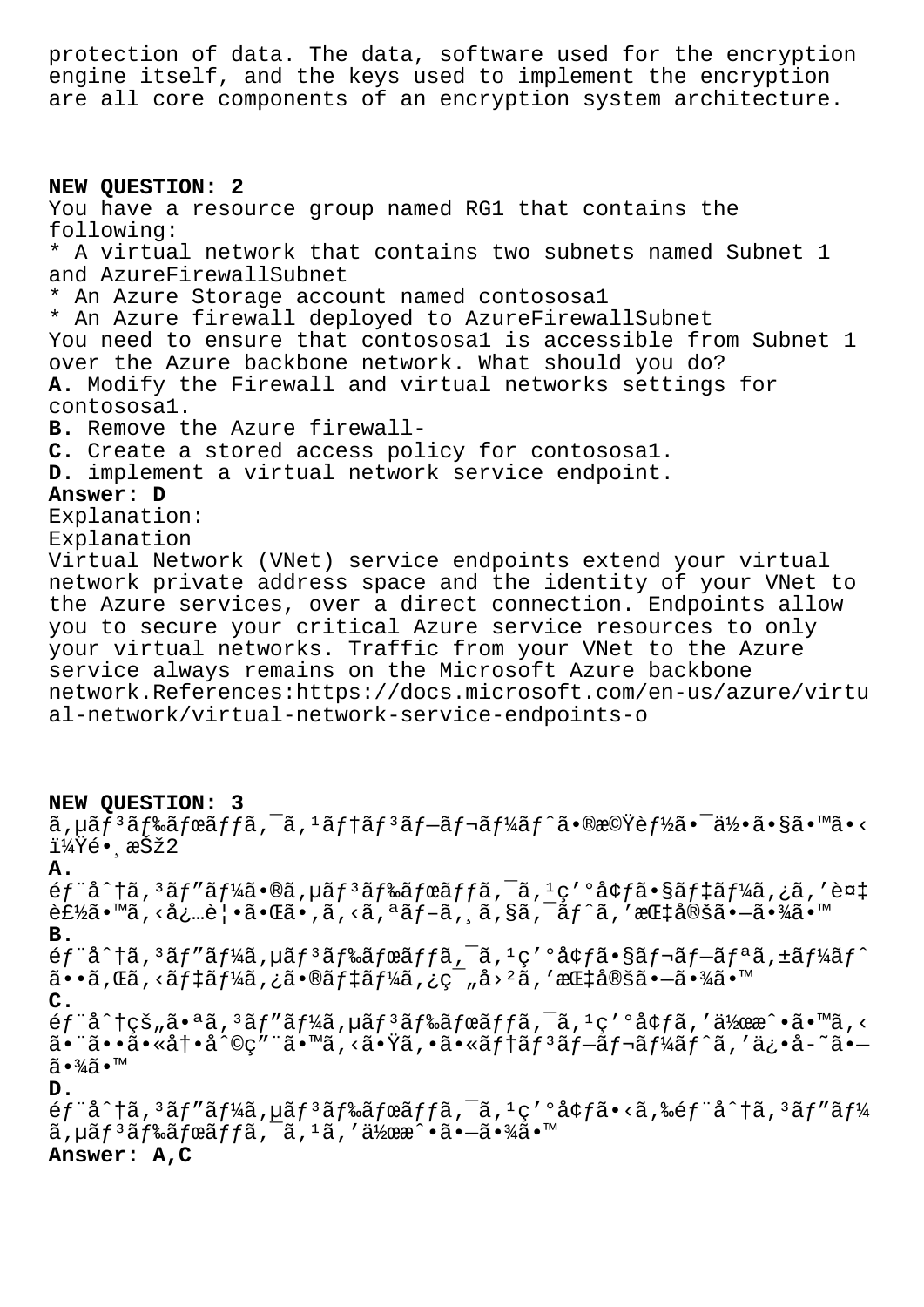protection of data. The data, software used for the encryption engine itself, and the keys used to implement the encryption are all core components of an encryption system architecture.

**NEW QUESTION: 2** You have a resource group named RG1 that contains the following: \* A virtual network that contains two subnets named Subnet 1 and AzureFirewallSubnet \* An Azure Storage account named contososa1 \* An Azure firewall deployed to AzureFirewallSubnet You need to ensure that contososa1 is accessible from Subnet 1 over the Azure backbone network. What should you do? **A.** Modify the Firewall and virtual networks settings for contososa1. **B.** Remove the Azure firewall-**C.** Create a stored access policy for contososa1. **D.** implement a virtual network service endpoint. **Answer: D** Explanation: Explanation Virtual Network (VNet) service endpoints extend your virtual network private address space and the identity of your VNet to the Azure services, over a direct connection. Endpoints allow you to secure your critical Azure service resources to only your virtual networks. Traffic from your VNet to the Azure service always remains on the Microsoft Azure backbone network.References:https://docs.microsoft.com/en-us/azure/virtu al-network/virtual-network-service-endpoints-o

## **NEW QUESTION: 3**

 $\tilde{a}$ ,  $\mu$ ã $f$ <sup>3</sup>ã $f$ ‰ã $f$ ϋ $f$  $\tilde{a}$ ,  $\tilde{f}$ ã,  $\tilde{a}$  $f$ à $f$ ã $f$  $\tilde{a}$  $f$  $\tilde{a}$  $f$  $\tilde{a}$  $f$  $\tilde{a}$  $\tilde{f}$  $\tilde{a}$  $f$  $\tilde{b}$  $\tilde{a}$  $f$  $\tilde{b}$  $\tilde{a}$  $\tilde{b}$  $\tilde{a}$  $\tilde{b}$  $\tilde{a}$  $\tilde{b}$  $\tilde{a}$  $\til$  $1\frac{1}{4}$  $\bar{Y}$ é• æŠž $2$ **A.**  $6f$ "å^†ã,<sup>3</sup>ã $f$ "ã $f$ ¼ã•®ã,µã $f$ <sup>3</sup>ã $f$ ‰ã $f$ ϋ $f$ fã, $\overline{a}$ ,  $\overline{a}$ ,  $\overline{a}$ ,  $\overline{a}$ ,  $\overline{a}$ ,  $\overline{a}$ ,  $\overline{a}$ ,  $\overline{a}$ ,  $\overline{a}$ ,  $\overline{a}$ ,  $\overline{a}$ ,  $\overline{a}$ ,  $\overline{a}$ ,  $\overline{a}$ ,  $\overline{a}$ ,  $\overline{a}$ ,  $\overline{a}$  $\hat{\mathcal{L}}$ £½ã•™ã, <必覕㕌ã•,ã, <ã, ªãf-ã, ¸ã, §ã, ¯ãf^ã, '指定ã•-㕾ã•™ **B.**  $\epsilon$ f"å^†ã, 3 $\tilde{a}$ f"ãf¼ã, µãf 3 $\tilde{a}$ f‰ãfœãffã,  $\tilde{a}$ ,  $\tilde{a}$ ,  $\tilde{a}$ ,  $\tilde{a}$ c'  $\tilde{a}$ saf $\tilde{a}$ f a $\tilde{a}$ ,  $\tilde{a}$ f $\tilde{a}$ f $\tilde{a}$ f $\tilde{a}$ f $\tilde{a}$ f $\tilde{a}$ f $\tilde{a}$ f $\tilde{a}$ f $\tilde{a}$ f $\tilde{a}$ f $\tilde{$  $a \cdot a$ , Cã, <ã $f \ddagger a f$ ¼ã, ¿ã $\cdot$ ®ã $f \ddagger a f$ ¼ã, ¿ç¯, å $>$ ²ã, 'æC $\ddagger a$ e $\ddagger a \ddagger a \ddagger a \ddagger a \ddagger$ **C.**  $\epsilon$ f"å^†çš"㕪ã, $3$ ãf"ãf¼ã, $\mu$ ãf $3$ ã $f$ ‰ã $f$ ϋ $f$ ã, $\bar{a}$ , $\bar{a}$ , $\epsilon'$ ºå¢ $f$ ã,' $\bar{a}$ kϾ $\hat{a}$ . $\bar{a}$ ,< 㕨㕕㕫冕å^©ç″¨ã•™ã,<㕟ã,•㕫テリãƒ-レーãƒ^ã,′ä¿•å-~ã•—  $\widetilde{a} \cdot \frac{3}{4} \widetilde{a} \cdot \mathbb{M}$ **D.**

 $6f$ "å^†ã,<sup>3</sup>ãf"ãf¼ã,µãf<sup>3</sup>ãf‰ãfœãffã,<sup>-</sup>ã,<sup>1</sup>ç'°å¢fã•<ã,‰éf"å^†ã,<sup>3</sup>ãf"ãf¼  $\tilde{a}$ ,  $\mu \tilde{a} f^3 \tilde{a} f^2 \tilde{a} f \tilde{a} f^2 \tilde{a} f^2 \tilde{a} f^3 \tilde{a} f^2 \tilde{a} f^3 \tilde{a} f^3 \tilde{a} f^4 \tilde{a} f^2 \tilde{a} f^3 \tilde{a} f^3 \tilde{a} f^4 \tilde{a} f^3 \tilde{a} f^3 \tilde{a} f^4 \tilde{a} f^4 \tilde{a} f^3 \tilde{a} f^4 \tilde{a} f^4 \tilde{a} f^3 \tilde{a} f^4 \tilde$ **Answer: A,C**